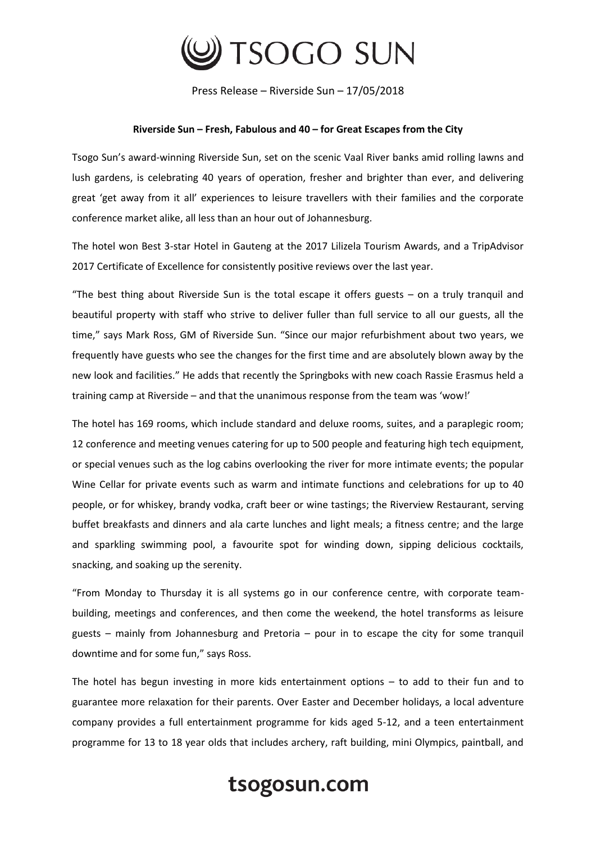

Press Release – Riverside Sun – 17/05/2018

## **Riverside Sun – Fresh, Fabulous and 40 – for Great Escapes from the City**

Tsogo Sun's award-winning Riverside Sun, set on the scenic Vaal River banks amid rolling lawns and lush gardens, is celebrating 40 years of operation, fresher and brighter than ever, and delivering great 'get away from it all' experiences to leisure travellers with their families and the corporate conference market alike, all less than an hour out of Johannesburg.

The hotel won Best 3-star Hotel in Gauteng at the 2017 Lilizela Tourism Awards, and a TripAdvisor 2017 Certificate of Excellence for consistently positive reviews over the last year.

"The best thing about Riverside Sun is the total escape it offers guests – on a truly tranquil and beautiful property with staff who strive to deliver fuller than full service to all our guests, all the time," says Mark Ross, GM of Riverside Sun. "Since our major refurbishment about two years, we frequently have guests who see the changes for the first time and are absolutely blown away by the new look and facilities." He adds that recently the Springboks with new coach Rassie Erasmus held a training camp at Riverside – and that the unanimous response from the team was 'wow!'

The hotel has 169 rooms, which include standard and deluxe rooms, suites, and a paraplegic room; 12 conference and meeting venues catering for up to 500 people and featuring high tech equipment, or special venues such as the log cabins overlooking the river for more intimate events; the popular Wine Cellar for private events such as warm and intimate functions and celebrations for up to 40 people, or for whiskey, brandy vodka, craft beer or wine tastings; the Riverview Restaurant, serving buffet breakfasts and dinners and ala carte lunches and light meals; a fitness centre; and the large and sparkling swimming pool, a favourite spot for winding down, sipping delicious cocktails, snacking, and soaking up the serenity.

"From Monday to Thursday it is all systems go in our conference centre, with corporate teambuilding, meetings and conferences, and then come the weekend, the hotel transforms as leisure guests – mainly from Johannesburg and Pretoria – pour in to escape the city for some tranquil downtime and for some fun," says Ross.

The hotel has begun investing in more kids entertainment options – to add to their fun and to guarantee more relaxation for their parents. Over Easter and December holidays, a local adventure company provides a full entertainment programme for kids aged 5-12, and a teen entertainment programme for 13 to 18 year olds that includes archery, raft building, mini Olympics, paintball, and

## tsogosun.com